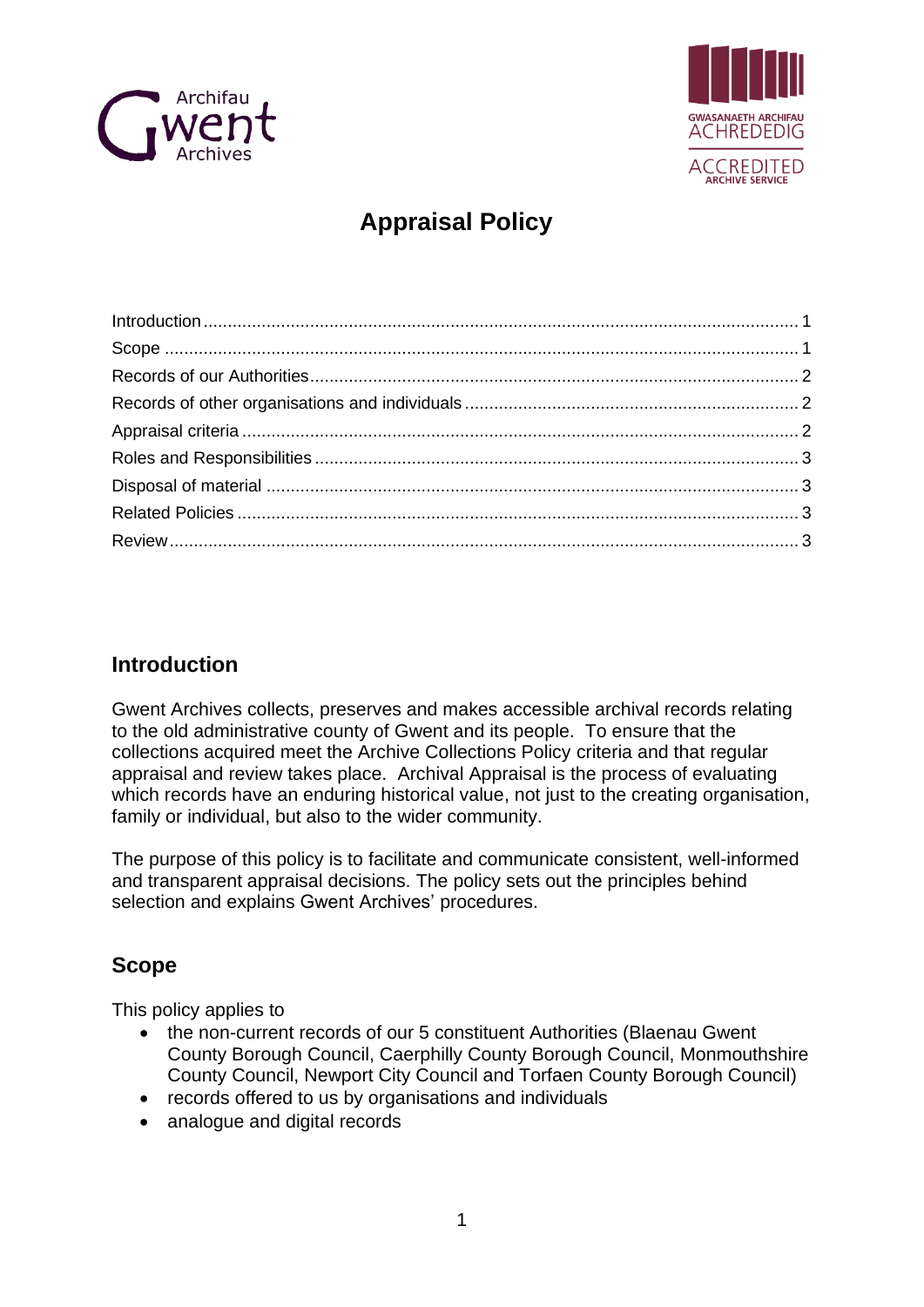



# **Appraisal Policy**

## <span id="page-0-0"></span>**Introduction**

Gwent Archives collects, preserves and makes accessible archival records relating to the old administrative county of Gwent and its people. To ensure that the collections acquired meet the Archive Collections Policy criteria and that regular appraisal and review takes place. Archival Appraisal is the process of evaluating which records have an enduring historical value, not just to the creating organisation, family or individual, but also to the wider community.

The purpose of this policy is to facilitate and communicate consistent, well-informed and transparent appraisal decisions. The policy sets out the principles behind selection and explains Gwent Archives' procedures.

## <span id="page-0-1"></span>**Scope**

This policy applies to

- the non-current records of our 5 constituent Authorities (Blaenau Gwent County Borough Council, Caerphilly County Borough Council, Monmouthshire County Council, Newport City Council and Torfaen County Borough Council)
- records offered to us by organisations and individuals
- analogue and digital records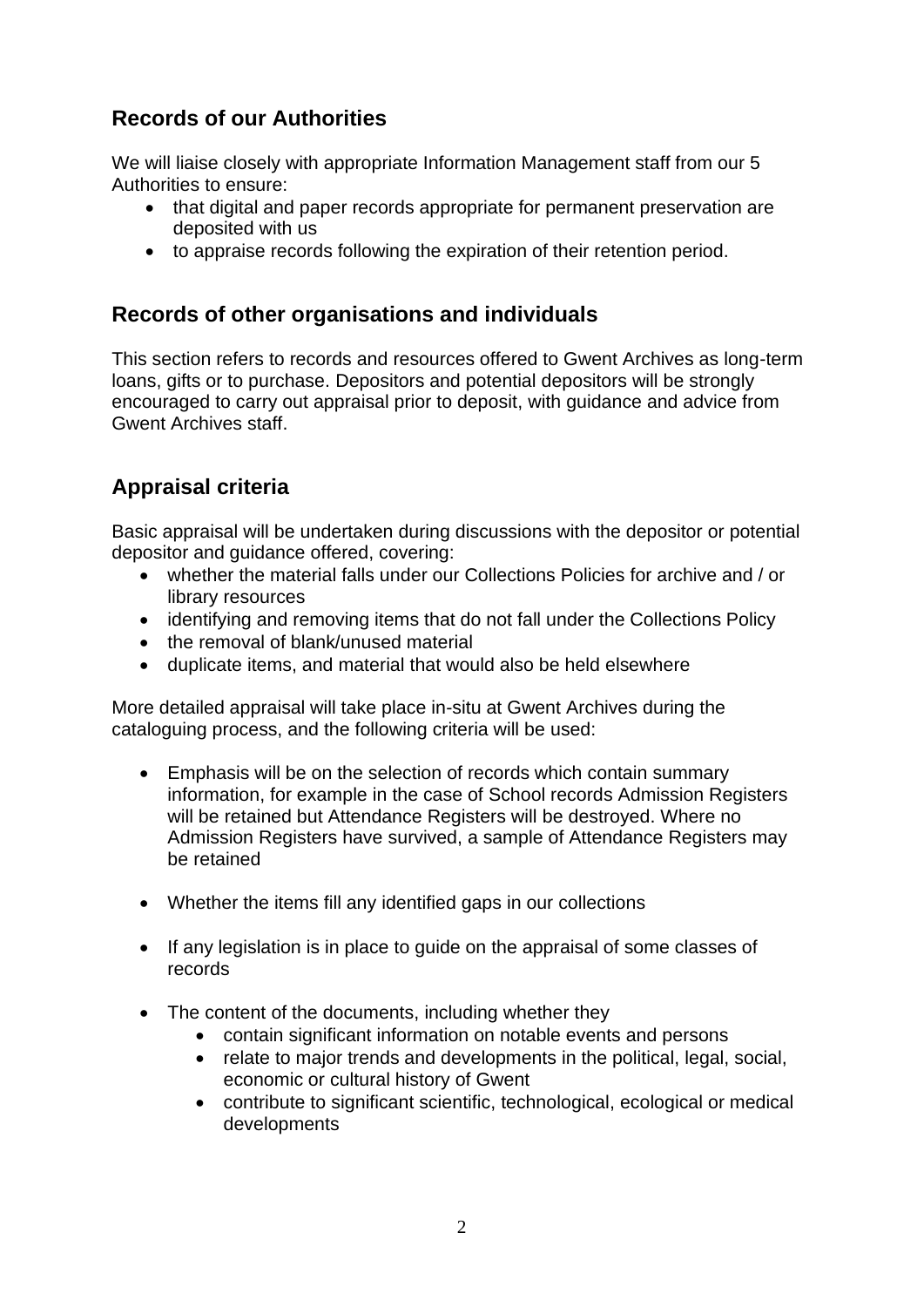# <span id="page-1-0"></span>**Records of our Authorities**

We will liaise closely with appropriate Information Management staff from our 5 Authorities to ensure:

- that digital and paper records appropriate for permanent preservation are deposited with us
- to appraise records following the expiration of their retention period.

### <span id="page-1-1"></span>**Records of other organisations and individuals**

This section refers to records and resources offered to Gwent Archives as long-term loans, gifts or to purchase. Depositors and potential depositors will be strongly encouraged to carry out appraisal prior to deposit, with guidance and advice from Gwent Archives staff.

## <span id="page-1-2"></span>**Appraisal criteria**

Basic appraisal will be undertaken during discussions with the depositor or potential depositor and guidance offered, covering:

- whether the material falls under our Collections Policies for archive and / or library resources
- identifying and removing items that do not fall under the Collections Policy
- the removal of blank/unused material
- duplicate items, and material that would also be held elsewhere

More detailed appraisal will take place in-situ at Gwent Archives during the cataloguing process, and the following criteria will be used:

- Emphasis will be on the selection of records which contain summary information, for example in the case of School records Admission Registers will be retained but Attendance Registers will be destroyed. Where no Admission Registers have survived, a sample of Attendance Registers may be retained
- Whether the items fill any identified gaps in our collections
- If any legislation is in place to guide on the appraisal of some classes of records
- The content of the documents, including whether they
	- contain significant information on notable events and persons
	- relate to major trends and developments in the political, legal, social, economic or cultural history of Gwent
	- contribute to significant scientific, technological, ecological or medical developments